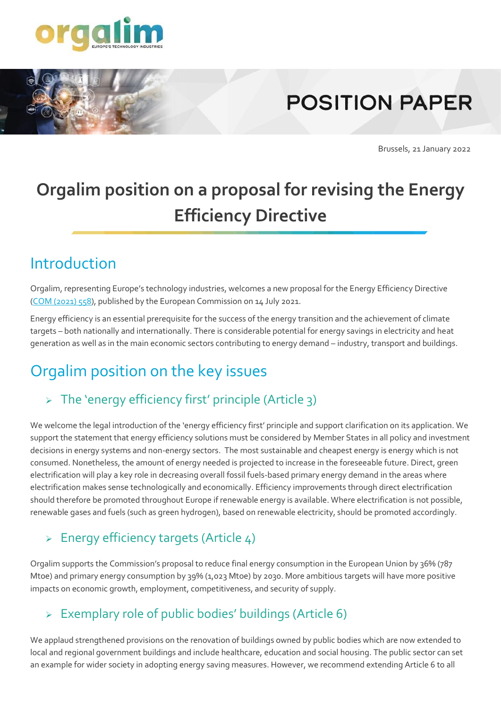

# **POSITION PAPER**

Brussels, 21 January 2022

## **Orgalim position on a proposal for revising the Energy Efficiency Directive**

### Introduction

Orgalim, representing Europe's technology industries, welcomes a new proposal for the Energy Efficiency Directive (COM [\(2021\)](https://eur-lex.europa.eu/legal-content/EN/TXT/?uri=CELEX%3A52021PC0558) 558), published by the European Commission on 14 July 2021.

Energy efficiency is an essential prerequisite for the success of the energy transition and the achievement of climate targets – both nationally and internationally. There is considerable potential for energy savings in electricity and heat generation as well as in the main economic sectors contributing to energy demand – industry, transport and buildings.

## Orgalim position on the key issues

#### $\triangleright$  The 'energy efficiency first' principle (Article 3)

We welcome the legal introduction of the 'energy efficiency first' principle and support clarification on its application. We support the statement that energy efficiency solutions must be considered by Member States in all policy and investment decisions in energy systems and non-energy sectors. The most sustainable and cheapest energy is energy which is not consumed. Nonetheless, the amount of energy needed is projected to increase in the foreseeable future. Direct, green electrification will play a key role in decreasing overall fossil fuels-based primary energy demand in the areas where electrification makes sense technologically and economically. Efficiency improvements through direct electrification should therefore be promoted throughout Europe if renewable energy is available. Where electrification is not possible, renewable gases and fuels (such as green hydrogen), based on renewable electricity, should be promoted accordingly.

#### $\triangleright$  Energy efficiency targets (Article 4)

Orgalim supports the Commission's proposal to reduce final energy consumption in the European Union by 36% (787 Mtoe) and primary energy consumption by 39% (1,023 Mtoe) by 2030. More ambitious targets will have more positive impacts on economic growth, employment, competitiveness, and security of supply.

#### ➢ Exemplary role of public bodies' buildings (Article 6)

We applaud strengthened provisions on the renovation of buildings owned by public bodies which are now extended to local and regional government buildings and include healthcare, education and social housing. The public sector can set an example for wider society in adopting energy saving measures. However, we recommend extending Article 6 to all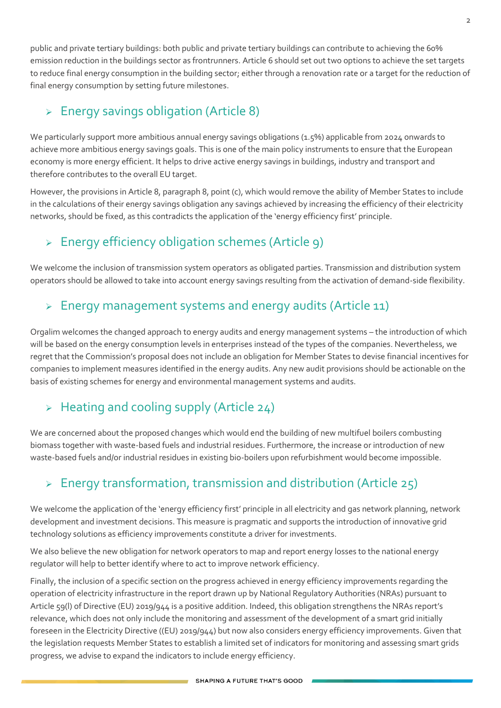public and private tertiary buildings: both public and private tertiary buildings can contribute to achieving the 60% emission reduction in the buildings sector as frontrunners. Article 6 should set out two options to achieve the set targets to reduce final energy consumption in the building sector; either through a renovation rate or a target for the reduction of final energy consumption by setting future milestones.

#### ➢ Energy savings obligation (Article 8)

We particularly support more ambitious annual energy savings obligations (1.5%) applicable from 2024 onwards to achieve more ambitious energy savings goals. This is one of the main policy instruments to ensure that the European economy is more energy efficient. It helps to drive active energy savings in buildings, industry and transport and therefore contributes to the overall EU target.

However, the provisions in Article 8, paragraph 8, point (c), which would remove the ability of Member States to include in the calculations of their energy savings obligation any savings achieved by increasing the efficiency of their electricity networks, should be fixed, as this contradicts the application of the 'energy efficiency first' principle.

#### ➢ Energy efficiency obligation schemes (Article 9)

We welcome the inclusion of transmission system operators as obligated parties. Transmission and distribution system operators should be allowed to take into account energy savings resulting from the activation of demand-side flexibility.

#### ➢ Energy management systems and energy audits (Article 11)

Orgalim welcomes the changed approach to energy audits and energy management systems – the introduction of which will be based on the energy consumption levels in enterprises instead of the types of the companies. Nevertheless, we regret that the Commission's proposal does not include an obligation for Member States to devise financial incentives for companies to implement measures identified in the energy audits. Any new audit provisions should be actionable on the basis of existing schemes for energy and environmental management systems and audits.

#### $\triangleright$  Heating and cooling supply (Article 24)

We are concerned about the proposed changes which would end the building of new multifuel boilers combusting biomass together with waste-based fuels and industrial residues. Furthermore, the increase or introduction of new waste-based fuels and/or industrial residues in existing bio-boilers upon refurbishment would become impossible.

#### $\triangleright$  Energy transformation, transmission and distribution (Article 25)

We welcome the application of the 'energy efficiency first' principle in all electricity and gas network planning, network development and investment decisions. This measure is pragmatic and supports the introduction of innovative grid technology solutions as efficiency improvements constitute a driver for investments.

We also believe the new obligation for network operators to map and report energy losses to the national energy regulator will help to better identify where to act to improve network efficiency.

Finally, the inclusion of a specific section on the progress achieved in energy efficiency improvements regarding the operation of electricity infrastructure in the report drawn up by National Regulatory Authorities (NRAs) pursuant to Article 59(l) of Directive (EU) 2019/944 is a positive addition. Indeed, this obligation strengthens the NRAs report's relevance, which does not only include the monitoring and assessment of the development of a smart grid initially foreseen in the Electricity Directive ((EU) 2019/944) but now also considers energy efficiency improvements. Given that the legislation requests Member States to establish a limited set of indicators for monitoring and assessing smart grids progress, we advise to expand the indicators to include energy efficiency.